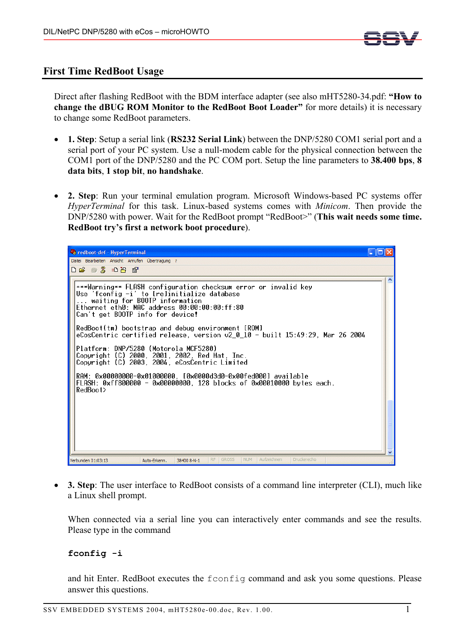

## **First Time RedBoot Usage**

Direct after flashing RedBoot with the BDM interface adapter (see also mHT5280-34.pdf: **"How to change the dBUG ROM Monitor to the RedBoot Boot Loader"** for more details) it is necessary to change some RedBoot parameters.

- **1. Step**: Setup a serial link (**RS232 Serial Link**) between the DNP/5280 COM1 serial port and a serial port of your PC system. Use a null-modem cable for the physical connection between the COM1 port of the DNP/5280 and the PC COM port. Setup the line parameters to **38.400 bps**, **8 data bits**, **1 stop bit**, **no handshake**.
- **2. Step**: Run your terminal emulation program. Microsoft Windows-based PC systems offer *HyperTerminal* for this task. Linux-based systems comes with *Minicom*. Then provide the DNP/5280 with power. Wait for the RedBoot prompt "RedBoot>" (**This wait needs some time. RedBoot try's first a network boot procedure**).



• **3. Step**: The user interface to RedBoot consists of a command line interpreter (CLI), much like a Linux shell prompt.

When connected via a serial line you can interactively enter commands and see the results. Please type in the command

## **fconfig -i**

and hit Enter. RedBoot executes the fconfig command and ask you some questions. Please answer this questions.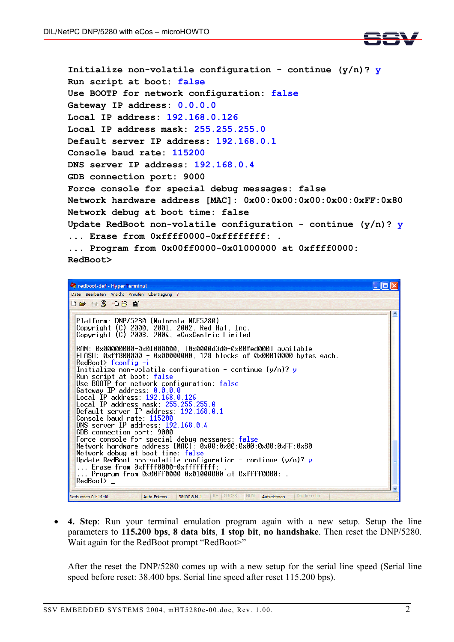

**Initialize non-volatile configuration - continue (y/n)? y Run script at boot: false Use BOOTP for network configuration: false Gateway IP address: 0.0.0.0 Local IP address: 192.168.0.126 Local IP address mask: 255.255.255.0 Default server IP address: 192.168.0.1 Console baud rate: 115200 DNS server IP address: 192.168.0.4 GDB connection port: 9000 Force console for special debug messages: false Network hardware address [MAC]: 0x00:0x00:0x00:0x00:0xFF:0x80 Network debug at boot time: false Update RedBoot non-volatile configuration - continue (y/n)? y ... Erase from 0xffff0000-0xffffffff: . ... Program from 0x00ff0000-0x01000000 at 0xffff0000: RedBoot>**



• **4. Step**: Run your terminal emulation program again with a new setup. Setup the line parameters to **115.200 bps**, **8 data bits**, **1 stop bit**, **no handshake**. Then reset the DNP/5280. Wait again for the RedBoot prompt "RedBoot>"

After the reset the DNP/5280 comes up with a new setup for the serial line speed (Serial line speed before reset: 38.400 bps. Serial line speed after reset 115.200 bps).